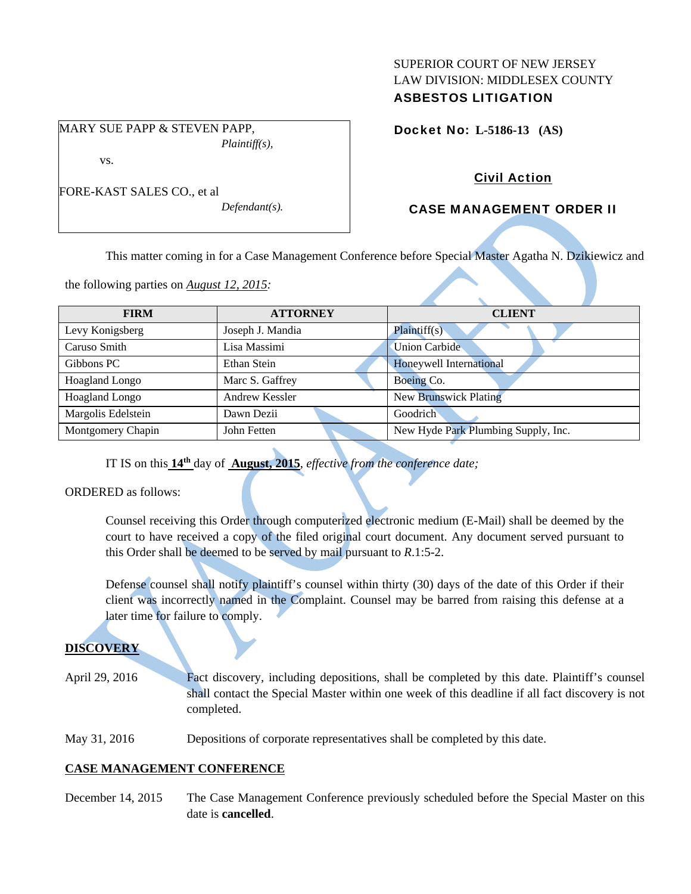### SUPERIOR COURT OF NEW JERSEY LAW DIVISION: MIDDLESEX COUNTY ASBESTOS LITIGATION

MARY SUE PAPP & STEVEN PAPP, *Plaintiff(s),* 

vs.

*Defendant(s).* 

# Docket No: **L-5186-13 (AS)**

# Civil Action

# CASE MANAGEMENT ORDER II

This matter coming in for a Case Management Conference before Special Master Agatha N. Dzikiewicz and

the following parties on *August 12, 2015:* 

| <b>FIRM</b>        | <b>ATTORNEY</b>  | <b>CLIENT</b>                       |
|--------------------|------------------|-------------------------------------|
| Levy Konigsberg    | Joseph J. Mandia | Plaintiff(s)                        |
| Caruso Smith       | Lisa Massimi     | <b>Union Carbide</b>                |
| Gibbons PC         | Ethan Stein      | Honeywell International             |
| Hoagland Longo     | Marc S. Gaffrey  | Boeing Co.                          |
| Hoagland Longo     | Andrew Kessler   | <b>New Brunswick Plating</b>        |
| Margolis Edelstein | Dawn Dezii       | Goodrich                            |
| Montgomery Chapin  | John Fetten      | New Hyde Park Plumbing Supply, Inc. |

IT IS on this **14th** day of **August, 2015**, *effective from the conference date;*

ORDERED as follows:

Counsel receiving this Order through computerized electronic medium (E-Mail) shall be deemed by the court to have received a copy of the filed original court document. Any document served pursuant to this Order shall be deemed to be served by mail pursuant to *R*.1:5-2.

Defense counsel shall notify plaintiff's counsel within thirty (30) days of the date of this Order if their client was incorrectly named in the Complaint. Counsel may be barred from raising this defense at a later time for failure to comply.

# **DISCOVERY**

April 29, 2016 Fact discovery, including depositions, shall be completed by this date. Plaintiff's counsel shall contact the Special Master within one week of this deadline if all fact discovery is not completed.

May 31, 2016 Depositions of corporate representatives shall be completed by this date.

# **CASE MANAGEMENT CONFERENCE**

December 14, 2015 The Case Management Conference previously scheduled before the Special Master on this date is **cancelled**.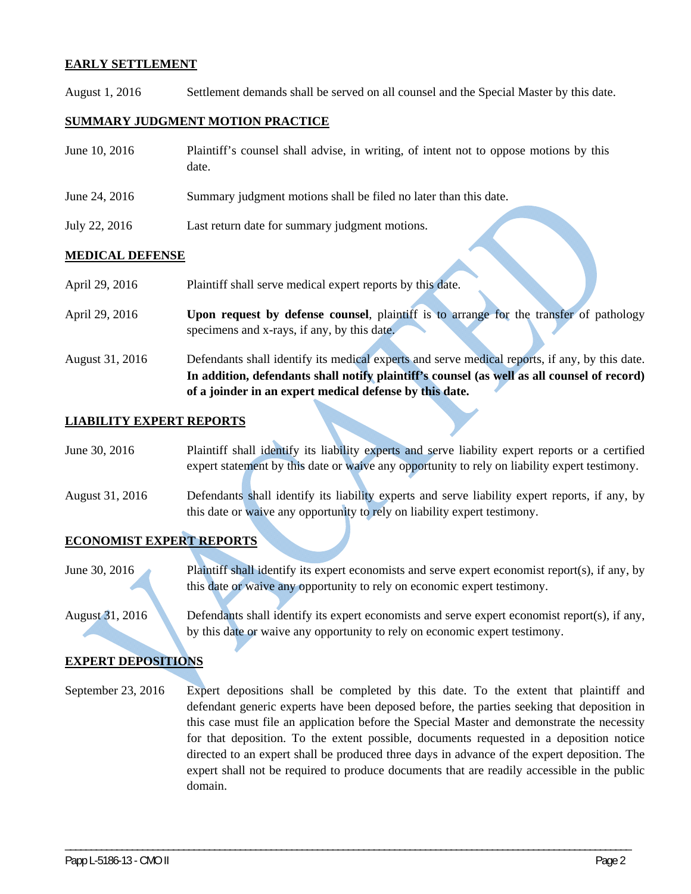#### **EARLY SETTLEMENT**

August 1, 2016 Settlement demands shall be served on all counsel and the Special Master by this date.

#### **SUMMARY JUDGMENT MOTION PRACTICE**

| June 10, 2016          | Plaintiff's counsel shall advise, in writing, of intent not to oppose motions by this<br>date. |  |
|------------------------|------------------------------------------------------------------------------------------------|--|
| June 24, 2016          | Summary judgment motions shall be filed no later than this date.                               |  |
| July 22, 2016          | Last return date for summary judgment motions.                                                 |  |
| <b>MEDICAL DEFENSE</b> |                                                                                                |  |

| April 29, 2016 | Plaintiff shall serve medical expert reports by this date.                             |
|----------------|----------------------------------------------------------------------------------------|
|                |                                                                                        |
| April 29, 2016 | Upon request by defense counsel, plaintiff is to arrange for the transfer of pathology |
|                | specimens and x-rays, if any, by this date.                                            |
|                |                                                                                        |

August 31, 2016 Defendants shall identify its medical experts and serve medical reports, if any, by this date. **In addition, defendants shall notify plaintiff's counsel (as well as all counsel of record) of a joinder in an expert medical defense by this date.** 

#### **LIABILITY EXPERT REPORTS**

| June 30, 2016   | Plaintiff shall identify its liability experts and serve liability expert reports or a certified |
|-----------------|--------------------------------------------------------------------------------------------------|
|                 | expert statement by this date or waive any opportunity to rely on liability expert testimony.    |
| August 31, 2016 | Defendants shall identify its liability experts and serve liability expert reports, if any, by   |

this date or waive any opportunity to rely on liability expert testimony.

#### **ECONOMIST EXPERT REPORTS**

June 30, 2016 Plaintiff shall identify its expert economists and serve expert economist report(s), if any, by this date or waive any opportunity to rely on economic expert testimony.

August 31, 2016 Defendants shall identify its expert economists and serve expert economist report(s), if any, by this date or waive any opportunity to rely on economic expert testimony.

#### **EXPERT DEPOSITIONS**

September 23, 2016 Expert depositions shall be completed by this date. To the extent that plaintiff and defendant generic experts have been deposed before, the parties seeking that deposition in this case must file an application before the Special Master and demonstrate the necessity for that deposition. To the extent possible, documents requested in a deposition notice directed to an expert shall be produced three days in advance of the expert deposition. The expert shall not be required to produce documents that are readily accessible in the public domain.

\_\_\_\_\_\_\_\_\_\_\_\_\_\_\_\_\_\_\_\_\_\_\_\_\_\_\_\_\_\_\_\_\_\_\_\_\_\_\_\_\_\_\_\_\_\_\_\_\_\_\_\_\_\_\_\_\_\_\_\_\_\_\_\_\_\_\_\_\_\_\_\_\_\_\_\_\_\_\_\_\_\_\_\_\_\_\_\_\_\_\_\_\_\_\_\_\_\_\_\_\_\_\_\_\_\_\_\_\_\_